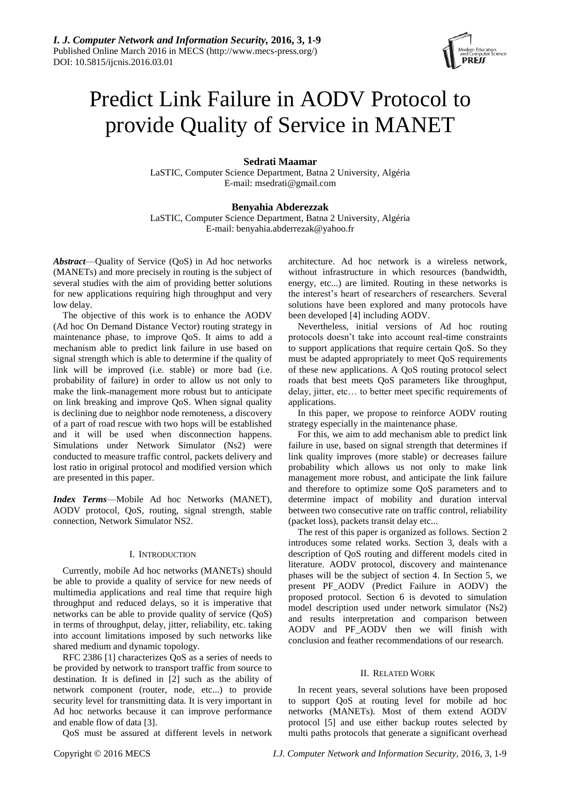

# Predict Link Failure in AODV Protocol to provide Quality of Service in MANET

# **Sedrati Maamar**

LaSTIC, Computer Science Department, Batna 2 University, Algéria E-mail: msedrati@gmail.com

# **Benyahia Abderezzak**

LaSTIC, Computer Science Department, Batna 2 University, Algéria E-mail: benyahia.abderrezak@yahoo.fr

*Abstract*—Quality of Service (QoS) in Ad hoc networks (MANETs) and more precisely in routing is the subject of several studies with the aim of providing better solutions for new applications requiring high throughput and very low delay.

The objective of this work is to enhance the AODV (Ad hoc On Demand Distance Vector) routing strategy in maintenance phase, to improve QoS. It aims to add a mechanism able to predict link failure in use based on signal strength which is able to determine if the quality of link will be improved (i.e. stable) or more bad (i.e. probability of failure) in order to allow us not only to make the link-management more robust but to anticipate on link breaking and improve QoS. When signal quality is declining due to neighbor node remoteness, a discovery of a part of road rescue with two hops will be established and it will be used when disconnection happens. Simulations under Network Simulator (Ns2) were conducted to measure traffic control, packets delivery and lost ratio in original protocol and modified version which are presented in this paper.

*Index Terms*—Mobile Ad hoc Networks (MANET), AODV protocol, QoS, routing, signal strength, stable connection, Network Simulator NS2.

## I. INTRODUCTION

Currently, mobile Ad hoc networks (MANETs) should be able to provide a quality of service for new needs of multimedia applications and real time that require high throughput and reduced delays, so it is imperative that networks can be able to provide quality of service (QoS) in terms of throughput, delay, jitter, reliability, etc. taking into account limitations imposed by such networks like shared medium and dynamic topology.

RFC 2386 [1] characterizes QoS as a series of needs to be provided by network to transport traffic from source to destination. It is defined in [2] such as the ability of network component (router, node, etc...) to provide security level for transmitting data. It is very important in Ad hoc networks because it can improve performance and enable flow of data [3].

QoS must be assured at different levels in network

architecture. Ad hoc network is a wireless network, without infrastructure in which resources (bandwidth, energy, etc...) are limited. Routing in these networks is the interest's heart of researchers of researchers. Several solutions have been explored and many protocols have been developed [4] including AODV.

Nevertheless, initial versions of Ad hoc routing protocols doesn't take into account real-time constraints to support applications that require certain QoS. So they must be adapted appropriately to meet QoS requirements of these new applications. A QoS routing protocol select roads that best meets QoS parameters like throughput, delay, jitter, etc… to better meet specific requirements of applications.

In this paper, we propose to reinforce AODV routing strategy especially in the maintenance phase.

For this, we aim to add mechanism able to predict link failure in use, based on signal strength that determines if link quality improves (more stable) or decreases failure probability which allows us not only to make link management more robust, and anticipate the link failure and therefore to optimize some QoS parameters and to determine impact of mobility and duration interval between two consecutive rate on traffic control, reliability (packet loss), packets transit delay etc...

The rest of this paper is organized as follows. Section 2 introduces some related works. Section 3, deals with a description of QoS routing and different models cited in literature. AODV protocol, discovery and maintenance phases will be the subject of section 4. In Section 5, we present PF\_AODV (Predict Failure in AODV) the proposed protocol. Section 6 is devoted to simulation model description used under network simulator (Ns2) and results interpretation and comparison between AODV and PF\_AODV then we will finish with conclusion and feather recommendations of our research.

#### II. RELATED WORK

In recent years, several solutions have been proposed to support QoS at routing level for mobile ad hoc networks (MANETs). Most of them extend AODV protocol [5] and use either backup routes selected by multi paths protocols that generate a significant overhead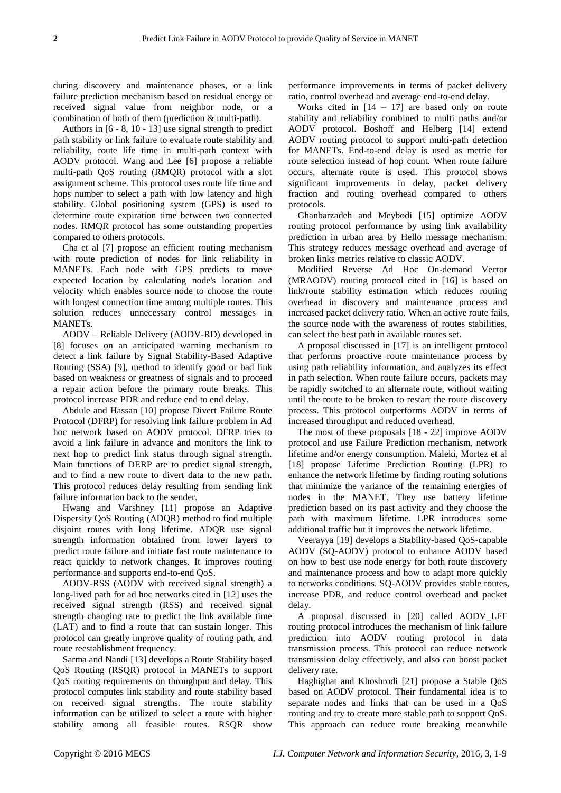during discovery and maintenance phases, or a link failure prediction mechanism based on residual energy or received signal value from neighbor node, or a combination of both of them (prediction & multi-path).

Authors in [6 - 8, 10 - 13] use signal strength to predict path stability or link failure to evaluate route stability and reliability, route life time in multi-path context with AODV protocol. Wang and Lee [6] propose a reliable multi-path QoS routing (RMQR) protocol with a slot assignment scheme. This protocol uses route life time and hops number to select a path with low latency and high stability. Global positioning system (GPS) is used to determine route expiration time between two connected nodes. RMQR protocol has some outstanding properties compared to others protocols.

Cha et al [7] propose an efficient routing mechanism with route prediction of nodes for link reliability in MANETs. Each node with GPS predicts to move expected location by calculating node's location and velocity which enables source node to choose the route with longest connection time among multiple routes. This solution reduces unnecessary control messages in MANETs.

AODV – Reliable Delivery (AODV-RD) developed in [8] focuses on an anticipated warning mechanism to detect a link failure by Signal Stability-Based Adaptive Routing (SSA) [9], method to identify good or bad link based on weakness or greatness of signals and to proceed a repair action before the primary route breaks. This protocol increase PDR and reduce end to end delay.

Abdule and Hassan [10] propose Divert Failure Route Protocol (DFRP) for resolving link failure problem in Ad hoc network based on AODV protocol. DFRP tries to avoid a link failure in advance and monitors the link to next hop to predict link status through signal strength. Main functions of DERP are to predict signal strength, and to find a new route to divert data to the new path. This protocol reduces delay resulting from sending link failure information back to the sender.

Hwang and Varshney [11] propose an Adaptive Dispersity QoS Routing (ADQR) method to find multiple disjoint routes with long lifetime. ADQR use signal strength information obtained from lower layers to predict route failure and initiate fast route maintenance to react quickly to network changes. It improves routing performance and supports end-to-end QoS.

AODV-RSS (AODV with received signal strength) a long-lived path for ad hoc networks cited in [12] uses the received signal strength (RSS) and received signal strength changing rate to predict the link available time (LAT) and to find a route that can sustain longer. This protocol can greatly improve quality of routing path, and route reestablishment frequency.

Sarma and Nandi [13] develops a Route Stability based QoS Routing (RSQR) protocol in MANETs to support QoS routing requirements on throughput and delay. This protocol computes link stability and route stability based on received signal strengths. The route stability information can be utilized to select a route with higher stability among all feasible routes. RSQR show performance improvements in terms of packet delivery ratio, control overhead and average end-to-end delay.

Works cited in  $[14 - 17]$  are based only on route stability and reliability combined to multi paths and/or AODV protocol. Boshoff and Helberg [14] extend AODV routing protocol to support multi-path detection for MANETs. End-to-end delay is used as metric for route selection instead of hop count. When route failure occurs, alternate route is used. This protocol shows significant improvements in delay, packet delivery fraction and routing overhead compared to others protocols.

Ghanbarzadeh and Meybodi [15] optimize AODV routing protocol performance by using link availability prediction in urban area by Hello message mechanism. This strategy reduces message overhead and average of broken links metrics relative to classic AODV.

Modified Reverse Ad Hoc On-demand Vector (MRAODV) routing protocol cited in [16] is based on link/route stability estimation which reduces routing overhead in discovery and maintenance process and increased packet delivery ratio. When an active route fails, the source node with the awareness of routes stabilities, can select the best path in available routes set.

A proposal discussed in [17] is an intelligent protocol that performs proactive route maintenance process by using path reliability information, and analyzes its effect in path selection. When route failure occurs, packets may be rapidly switched to an alternate route, without waiting until the route to be broken to restart the route discovery process. This protocol outperforms AODV in terms of increased throughput and reduced overhead.

The most of these proposals [18 - 22] improve AODV protocol and use Failure Prediction mechanism, network lifetime and/or energy consumption. Maleki, Mortez et al [18] propose Lifetime Prediction Routing (LPR) to enhance the network lifetime by finding routing solutions that minimize the variance of the remaining energies of nodes in the MANET. They use battery lifetime prediction based on its past activity and they choose the path with maximum lifetime. LPR introduces some additional traffic but it improves the network lifetime.

Veerayya [19] develops a Stability-based QoS-capable AODV (SQ-AODV) protocol to enhance AODV based on how to best use node energy for both route discovery and maintenance process and how to adapt more quickly to networks conditions. SQ-AODV provides stable routes, increase PDR, and reduce control overhead and packet delay.

A proposal discussed in [20] called AODV\_LFF routing protocol introduces the mechanism of link failure prediction into AODV routing protocol in data transmission process. This protocol can reduce network transmission delay effectively, and also can boost packet delivery rate.

Haghighat and Khoshrodi [21] propose a Stable QoS based on AODV protocol. Their fundamental idea is to separate nodes and links that can be used in a QoS routing and try to create more stable path to support QoS. This approach can reduce route breaking meanwhile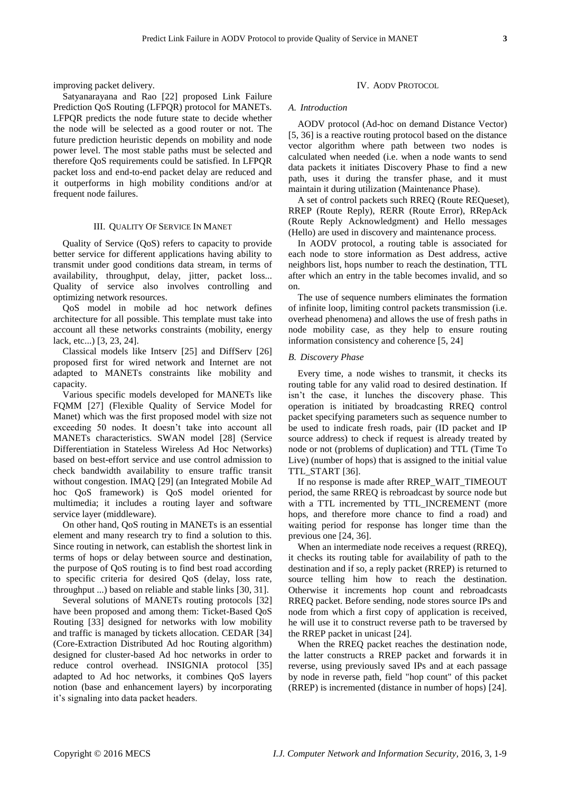improving packet delivery.

Satyanarayana and Rao [22] proposed Link Failure Prediction QoS Routing (LFPQR) protocol for MANETs. LFPQR predicts the node future state to decide whether the node will be selected as a good router or not. The future prediction heuristic depends on mobility and node power level. The most stable paths must be selected and therefore QoS requirements could be satisfied. In LFPQR packet loss and end-to-end packet delay are reduced and it outperforms in high mobility conditions and/or at frequent node failures.

## III. QUALITY OF SERVICE IN MANET

Quality of Service (QoS) refers to capacity to provide better service for different applications having ability to transmit under good conditions data stream, in terms of availability, throughput, delay, jitter, packet loss... Quality of service also involves controlling and optimizing network resources.

QoS model in mobile ad hoc network defines architecture for all possible. This template must take into account all these networks constraints (mobility, energy lack, etc...) [3, 23, 24].

Classical models like Intserv [25] and DiffServ [26] proposed first for wired network and Internet are not adapted to MANETs constraints like mobility and capacity.

Various specific models developed for MANETs like FQMM [27] (Flexible Quality of Service Model for Manet) which was the first proposed model with size not exceeding 50 nodes. It doesn't take into account all MANETs characteristics. SWAN model [28] (Service Differentiation in Stateless Wireless Ad Hoc Networks) based on best-effort service and use control admission to check bandwidth availability to ensure traffic transit without congestion. IMAQ [29] (an Integrated Mobile Ad hoc QoS framework) is QoS model oriented for multimedia; it includes a routing layer and software service layer (middleware).

On other hand, QoS routing in MANETs is an essential element and many research try to find a solution to this. Since routing in network, can establish the shortest link in terms of hops or delay between source and destination, the purpose of QoS routing is to find best road according to specific criteria for desired QoS (delay, loss rate, throughput ...) based on reliable and stable links [30, 31].

Several solutions of MANETs routing protocols [32] have been proposed and among them: Ticket-Based QoS Routing [33] designed for networks with low mobility and traffic is managed by tickets allocation. CEDAR [34] (Core-Extraction Distributed Ad hoc Routing algorithm) designed for cluster-based Ad hoc networks in order to reduce control overhead. INSIGNIA protocol [35] adapted to Ad hoc networks, it combines QoS layers notion (base and enhancement layers) by incorporating it's signaling into data packet headers.

## IV. AODV PROTOCOL

#### *A. Introduction*

AODV protocol (Ad-hoc on demand Distance Vector) [5, 36] is a reactive routing protocol based on the distance vector algorithm where path between two nodes is calculated when needed (i.e. when a node wants to send data packets it initiates Discovery Phase to find a new path, uses it during the transfer phase, and it must maintain it during utilization (Maintenance Phase).

A set of control packets such RREQ (Route REQueset), RREP (Route Reply), RERR (Route Error), RRepAck (Route Reply Acknowledgment) and Hello messages (Hello) are used in discovery and maintenance process.

In AODV protocol, a routing table is associated for each node to store information as Dest address, active neighbors list, hops number to reach the destination, TTL after which an entry in the table becomes invalid, and so on.

The use of sequence numbers eliminates the formation of infinite loop, limiting control packets transmission (i.e. overhead phenomena) and allows the use of fresh paths in node mobility case, as they help to ensure routing information consistency and coherence [5, 24]

### *B. Discovery Phase*

Every time, a node wishes to transmit, it checks its routing table for any valid road to desired destination. If isn't the case, it lunches the discovery phase. This operation is initiated by broadcasting RREQ control packet specifying parameters such as sequence number to be used to indicate fresh roads, pair (ID packet and IP source address) to check if request is already treated by node or not (problems of duplication) and TTL (Time To Live) (number of hops) that is assigned to the initial value TTL\_START [36].

If no response is made after RREP\_WAIT\_TIMEOUT period, the same RREQ is rebroadcast by source node but with a TTL incremented by TTL\_INCREMENT (more hops, and therefore more chance to find a road) and waiting period for response has longer time than the previous one [24, 36].

When an intermediate node receives a request (RREQ), it checks its routing table for availability of path to the destination and if so, a reply packet (RREP) is returned to source telling him how to reach the destination. Otherwise it increments hop count and rebroadcasts RREQ packet. Before sending, node stores source IPs and node from which a first copy of application is received, he will use it to construct reverse path to be traversed by the RREP packet in unicast [24].

When the RREQ packet reaches the destination node, the latter constructs a RREP packet and forwards it in reverse, using previously saved IPs and at each passage by node in reverse path, field "hop count" of this packet (RREP) is incremented (distance in number of hops) [24].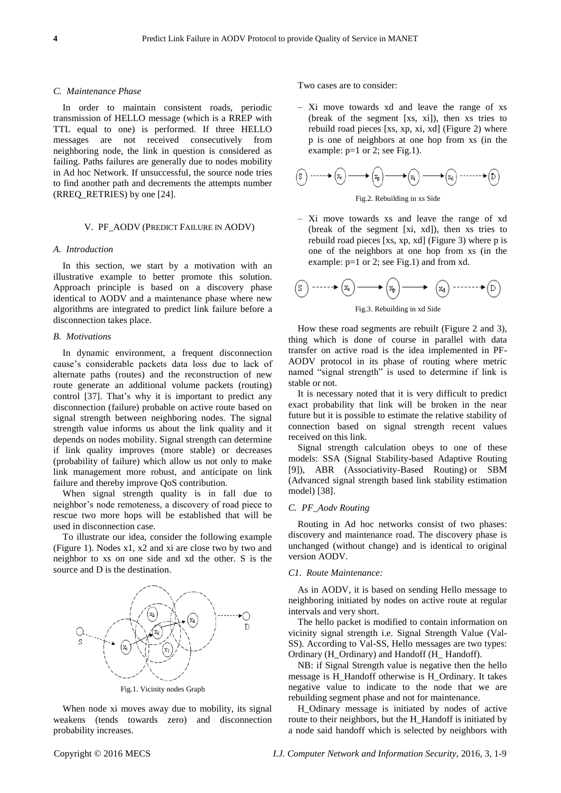#### *C. Maintenance Phase*

In order to maintain consistent roads, periodic transmission of HELLO message (which is a RREP with TTL equal to one) is performed. If three HELLO messages are not received consecutively from neighboring node, the link in question is considered as failing. Paths failures are generally due to nodes mobility in Ad hoc Network. If unsuccessful, the source node tries to find another path and decrements the attempts number (RREQ\_RETRIES) by one [24].

## V. PF\_AODV (PREDICT FAILURE IN AODV)

#### *A. Introduction*

In this section, we start by a motivation with an illustrative example to better promote this solution. Approach principle is based on a discovery phase identical to AODV and a maintenance phase where new algorithms are integrated to predict link failure before a disconnection takes place.

## *B. Motivations*

In dynamic environment, a frequent disconnection cause's considerable packets data loss due to lack of alternate paths (routes) and the reconstruction of new route generate an additional volume packets (routing) control [37]. That's why it is important to predict any disconnection (failure) probable on active route based on signal strength between neighboring nodes. The signal strength value informs us about the link quality and it depends on nodes mobility. Signal strength can determine if link quality improves (more stable) or decreases (probability of failure) which allow us not only to make link management more robust, and anticipate on link failure and thereby improve QoS contribution.

When signal strength quality is in fall due to neighbor's node remoteness, a discovery of road piece to rescue two more hops will be established that will be used in disconnection case.

To illustrate our idea, consider the following example (Figure 1). Nodes x1, x2 and xi are close two by two and neighbor to xs on one side and xd the other. S is the source and D is the destination.



Fig.1. Vicinity nodes Graph

When node xi moves away due to mobility, its signal weakens (tends towards zero) and disconnection probability increases.

Two cases are to consider:

– Xi move towards xd and leave the range of xs (break of the segment [xs, xi]), then xs tries to rebuild road pieces [xs, xp, xi, xd] (Figure 2) where p is one of neighbors at one hop from xs (in the example:  $p=1$  or 2; see Fig.1).

$$
(S_1) \cdots \cdots \bullet (S_k) \longrightarrow (S_k) \longrightarrow (S_k) \longrightarrow (S_k) \cdots \cdots \bullet (D)
$$



– Xi move towards xs and leave the range of xd (break of the segment [xi, xd]), then xs tries to rebuild road pieces [xs, xp, xd] (Figure 3) where p is one of the neighbors at one hop from xs (in the example:  $p=1$  or 2; see Fig.1) and from xd.

$$
\text{(S)}\xrightarrow{\hspace{0.5cm}}\text{S}\xrightarrow{\hspace{0.5cm}}\text{S}\xrightarrow{\hspace{0.5cm}}\text{S}\xrightarrow{\hspace{0.5cm}}\text{S}\xrightarrow{\hspace{0.5cm}}\text{S}\xrightarrow{\hspace{0.5cm}}\text{S}\xrightarrow{\hspace{0.5cm}}\text{S}\xrightarrow{\hspace{0.5cm}}\text{S}\xrightarrow{\hspace{0.5cm}}\text{S}\xrightarrow{\hspace{0.5cm}}\text{S}\xrightarrow{\hspace{0.5cm}}\text{S}\xrightarrow{\hspace{0.5cm}}\text{S}\xrightarrow{\hspace{0.5cm}}\text{S}\xrightarrow{\hspace{0.5cm}}\text{S}\xrightarrow{\hspace{0.5cm}}\text{S}\xrightarrow{\hspace{0.5cm}}\text{S}\xrightarrow{\hspace{0.5cm}}\text{S}\xrightarrow{\hspace{0.5cm}}\text{S}\xrightarrow{\hspace{0.5cm}}\text{S}\xrightarrow{\hspace{0.5cm}}\text{S}\xrightarrow{\hspace{0.5cm}}\text{S}\xrightarrow{\hspace{0.5cm}}\text{S}\xrightarrow{\hspace{0.5cm}}\text{S}\xrightarrow{\hspace{0.5cm}}\text{S}\xrightarrow{\hspace{0.5cm}}\text{S}\xrightarrow{\hspace{0.5cm}}\text{S}\xrightarrow{\hspace{0.5cm}}\text{S}\xrightarrow{\hspace{0.5cm}}\text{S}\xrightarrow{\hspace{0.5cm}}\text{S}\xrightarrow{\hspace{0.5cm}}\text{S}\xrightarrow{\hspace{0.5cm}}\text{S}\xrightarrow{\hspace{0.5cm}}\text{S}\xrightarrow{\hspace{0.5cm}}\text{S}\xrightarrow{\hspace{0.5cm}}\text{S}\xrightarrow{\hspace{0.5cm}}\text{S}\xrightarrow{\hspace{0.5cm}}\text{S}\xrightarrow{\hspace{0.5cm}}\text{S}\xrightarrow{\hspace{0.5cm}}\text{S}\xrightarrow{\hspace{0.5cm}}\text{S}\xrightarrow{\hspace{0.5cm}}\text{S}\xrightarrow{\hspace{0.5cm}}\text{S}\xrightarrow{\hspace{0.5cm}}\text{S}\xrightarrow{\hspace{0.5cm}}\text{S}\xrightarrow{\hspace{0.5cm}}\text{S}\xrightarrow{\hspace{0.5cm}}\text{S}\xrightarrow{\hspace{0.5cm}}\text{S}\xrightarrow{\hspace{0.5cm}}\text{S}\xrightarrow
$$

Fig.3. Rebuilding in xd Side

How these road segments are rebuilt (Figure 2 and 3), thing which is done of course in parallel with data transfer on active road is the idea implemented in PF-AODV protocol in its phase of routing where metric named "signal strength" is used to determine if link is stable or not.

It is necessary noted that it is very difficult to predict exact probability that link will be broken in the near future but it is possible to estimate the relative stability of connection based on signal strength recent values received on this link.

Signal strength calculation obeys to one of these models: SSA (Signal Stability-based Adaptive Routing [9]), ABR (Associativity-Based Routing) or SBM (Advanced signal strength based link stability estimation model) [38].

### *C. PF\_Aodv Routing*

Routing in Ad hoc networks consist of two phases: discovery and maintenance road. The discovery phase is unchanged (without change) and is identical to original version AODV.

## *C1. Route Maintenance:*

As in AODV, it is based on sending Hello message to neighboring initiated by nodes on active route at regular intervals and very short.

The hello packet is modified to contain information on vicinity signal strength i.e. Signal Strength Value (Val-SS). According to Val-SS, Hello messages are two types: Ordinary (H\_Ordinary) and Handoff (H\_ Handoff).

NB: if Signal Strength value is negative then the hello message is H\_Handoff otherwise is H\_Ordinary. It takes negative value to indicate to the node that we are rebuilding segment phase and not for maintenance.

H\_Odinary message is initiated by nodes of active route to their neighbors, but the H\_Handoff is initiated by a node said handoff which is selected by neighbors with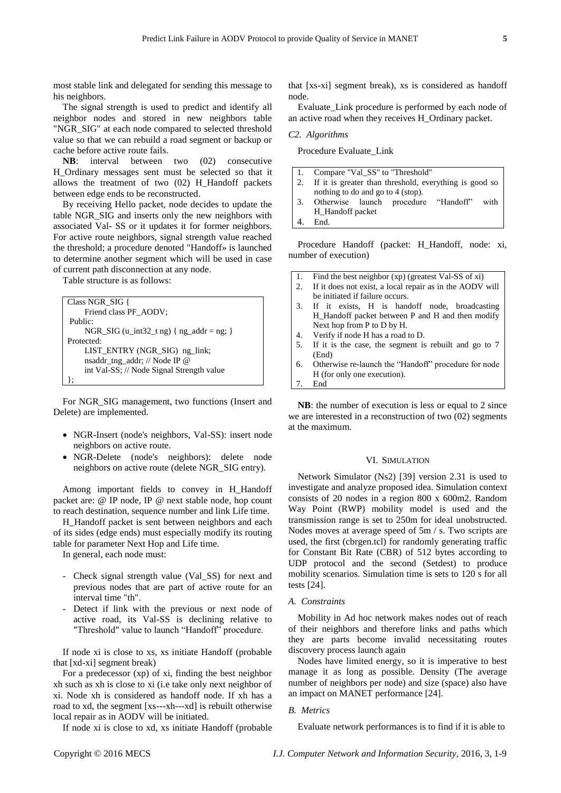most stable link and delegated for sending this message to his neighbors.

The signal strength is used to predict and identify all neighbor nodes and stored in new neighbors table "NGR\_SIG" at each node compared to selected threshold value so that we can rebuild a road segment or backup or cache before active route fails.

**NB**: interval between two (02) consecutive H\_Ordinary messages sent must be selected so that it allows the treatment of two (02) H\_Handoff packets between edge ends to be reconstructed.

By receiving Hello packet, node decides to update the table NGR\_SIG and inserts only the new neighbors with associated Val- SS or it updates it for former neighbors. For active route neighbors, signal strength value reached the threshold; a procedure denoted "Handoff» is launched to determine another segment which will be used in case of current path disconnection at any node.

Table structure is as follows:

```
Class NGR_SIG {
     Friend class PF_AODV;
Public:
     NGR_SIG (u_int32_t ng) { ng_addr = ng; }
Protected:
     LIST_ENTRY (NGR_SIG) ng_link;
     nsaddr_tng_addr; // Node IP @
     int Val-SS; // Node Signal Strength value
};
```
For NGR\_SIG management, two functions (Insert and Delete) are implemented.

- NGR-Insert (node's neighbors, Val-SS): insert node neighbors on active route.
- NGR-Delete (node's neighbors): delete node neighbors on active route (delete NGR\_SIG entry).

Among important fields to convey in H\_Handoff packet are: @ IP node, IP @ next stable node, hop count to reach destination, sequence number and link Life time.

H\_Handoff packet is sent between neighbors and each of its sides (edge ends) must especially modify its routing table for parameter Next Hop and Life time.

In general, each node must:

- Check signal strength value (Val\_SS) for next and previous nodes that are part of active route for an interval time "th".
- Detect if link with the previous or next node of active road, its Val-SS is declining relative to "Threshold" value to launch "Handoff" procedure.

If node xi is close to xs, xs initiate Handoff (probable that [xd-xi] segment break)

For a predecessor (xp) of xi, finding the best neighbor xh such as xh is close to xi (i.e take only next neighbor of xi. Node xh is considered as handoff node. If xh has a road to xd, the segment [xs---xh---xd] is rebuilt otherwise local repair as in AODV will be initiated.

If node xi is close to xd, xs initiate Handoff (probable

that [xs-xi] segment break), xs is considered as handoff node.

Evaluate\_Link procedure is performed by each node of an active road when they receives H\_Ordinary packet.

#### *C2. Algorithms*

Procedure Evaluate\_Link

|            | 1. Compare "Val_SS" to "Threshold"                     |  |
|------------|--------------------------------------------------------|--|
| $\vert 2.$ | If it is greater than threshold, everything is good so |  |
|            | nothing to do and go to 4 (stop).                      |  |
|            | 1.3. Otherwise launch procedure "Handoff" with         |  |
|            | H_Handoff packet                                       |  |
|            | End.                                                   |  |

Procedure Handoff (packet: H\_Handoff, node: xi, number of execution)

- 1. Find the best neighbor (xp) (greatest Val-SS of xi)
- 2. If it does not exist, a local repair as in the AODV will be initiated if failure occurs.
- 3. If it exists, H is handoff node, broadcasting H\_Handoff packet between P and H and then modify Next hop from P to D by H.
- 4. Verify if node H has a road to D.
- 5. If it is the case, the segment is rebuilt and go to 7 (End)
- 6. Otherwise re-launch the "Handoff" procedure for node H (for only one execution). 7. End

**NB**: the number of execution is less or equal to 2 since we are interested in a reconstruction of two (02) segments at the maximum.

## VI. SIMULATION

Network Simulator (Ns2) [39] version 2.31 is used to investigate and analyze proposed idea. Simulation context consists of 20 nodes in a region 800 x 600m2. Random Way Point (RWP) mobility model is used and the transmission range is set to 250m for ideal unobstructed. Nodes moves at average speed of 5m / s. Two scripts are used, the first (cbrgen.tcl) for randomly generating traffic for Constant Bit Rate (CBR) of 512 bytes according to UDP protocol and the second (Setdest) to produce mobility scenarios. Simulation time is sets to 120 s for all tests [24].

## *A. Constraints*

Mobility in Ad hoc network makes nodes out of reach of their neighbors and therefore links and paths which they are parts become invalid necessitating routes discovery process launch again

Nodes have limited energy, so it is imperative to best manage it as long as possible. Density (The average number of neighbors per node) and size (space) also have an impact on MANET performance [24].

#### *B. Metrics*

Evaluate network performances is to find if it is able to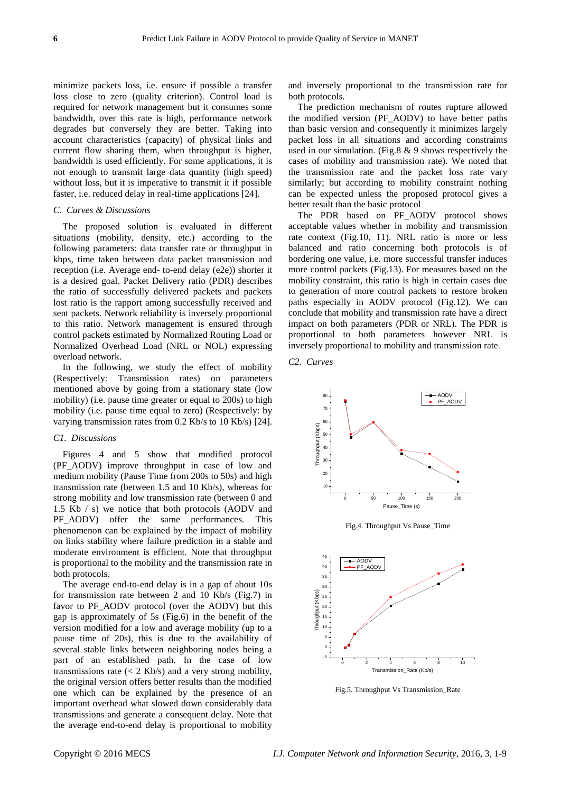minimize packets loss, i.e. ensure if possible a transfer loss close to zero (quality criterion). Control load is required for network management but it consumes some bandwidth, over this rate is high, performance network degrades but conversely they are better. Taking into account characteristics (capacity) of physical links and current flow sharing them, when throughput is higher, bandwidth is used efficiently. For some applications, it is not enough to transmit large data quantity (high speed) without loss, but it is imperative to transmit it if possible faster, i.e. reduced delay in real-time applications [24].

## *C. Curves & Discussions*

The proposed solution is evaluated in different situations (mobility, density, etc.) according to the following parameters: data transfer rate or throughput in kbps, time taken between data packet transmission and reception (i.e. Average end- to-end delay (e2e)) shorter it is a desired goal. Packet Delivery ratio (PDR) describes the ratio of successfully delivered packets and packets lost ratio is the rapport among successfully received and sent packets. Network reliability is inversely proportional to this ratio. Network management is ensured through control packets estimated by Normalized Routing Load or Normalized Overhead Load (NRL or NOL) expressing overload network.

In the following, we study the effect of mobility (Respectively: Transmission rates) on parameters mentioned above by going from a stationary state (low mobility) (i.e. pause time greater or equal to 200s) to high mobility (i.e. pause time equal to zero) (Respectively: by varying transmission rates from 0.2 Kb/s to 10 Kb/s) [24].

#### *C1. Discussions*

Figures 4 and 5 show that modified protocol (PF\_AODV) improve throughput in case of low and medium mobility (Pause Time from 200s to 50s) and high transmission rate (between 1.5 and 10 Kb/s), whereas for strong mobility and low transmission rate (between 0 and 1.5 Kb / s) we notice that both protocols (AODV and PF\_AODV) offer the same performances. This phenomenon can be explained by the impact of mobility on links stability where failure prediction in a stable and moderate environment is efficient. Note that throughput is proportional to the mobility and the transmission rate in both protocols.

The average end-to-end delay is in a gap of about 10s for transmission rate between 2 and 10 Kb/s (Fig.7) in favor to PF\_AODV protocol (over the AODV) but this gap is approximately of 5s (Fig.6) in the benefit of the version modified for a low and average mobility (up to a pause time of 20s), this is due to the availability of several stable links between neighboring nodes being a part of an established path. In the case of low transmissions rate  $(< 2$  Kb/s) and a very strong mobility, the original version offers better results than the modified one which can be explained by the presence of an important overhead what slowed down considerably data transmissions and generate a consequent delay. Note that the average end-to-end delay is proportional to mobility and inversely proportional to the transmission rate for both protocols.

The prediction mechanism of routes rupture allowed the modified version (PF\_AODV) to have better paths than basic version and consequently it minimizes largely packet loss in all situations and according constraints used in our simulation. (Fig.8 & 9 shows respectively the cases of mobility and transmission rate). We noted that the transmission rate and the packet loss rate vary similarly; but according to mobility constraint nothing can be expected unless the proposed protocol gives a better result than the basic protocol

The PDR based on PF\_AODV protocol shows acceptable values whether in mobility and transmission rate context (Fig.10, 11). NRL ratio is more or less balanced and ratio concerning both protocols is of bordering one value, i.e. more successful transfer induces more control packets (Fig.13). For measures based on the mobility constraint, this ratio is high in certain cases due to generation of more control packets to restore broken paths especially in AODV protocol (Fig.12). We can conclude that mobility and transmission rate have a direct impact on both parameters (PDR or NRL). The PDR is proportional to both parameters however NRL is inversely proportional to mobility and transmission rate.

*C2. Curves*



Fig.4. Throughput Vs Pause\_Time



Fig.5. Throughput Vs Transmission\_Rate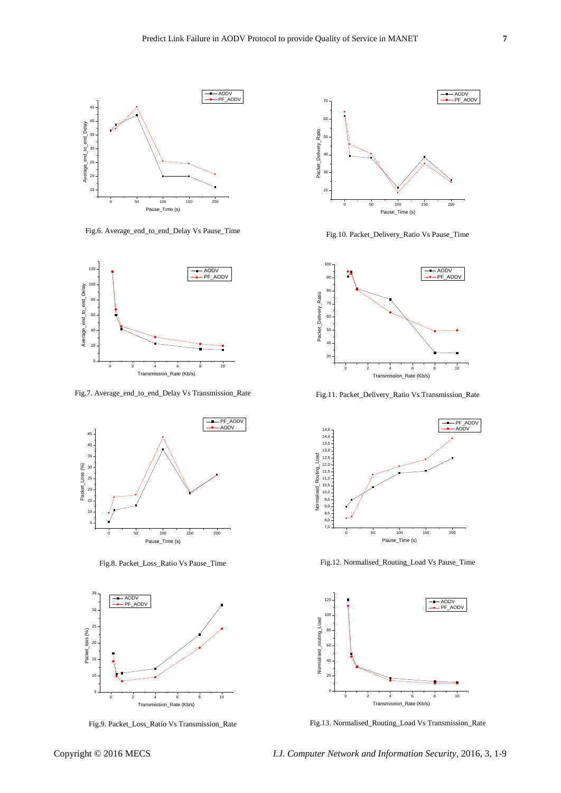

Fig.6. Average\_end\_to\_end\_Delay Vs Pause\_Time



Fig.7. Average\_end\_to\_end\_Delay Vs Transmission\_Rate



Fig.8. Packet\_Loss\_Ratio Vs Pause\_Time



Fig.9. Packet\_Loss\_Ratio Vs Transmission\_Rate



Fig.10. Packet\_Delivery\_Ratio Vs Pause\_Time



Fig.11. Packet\_Delivery\_Ratio Vs Transmission\_Rate



Fig.12. Normalised\_Routing\_Load Vs Pause\_Time



Fig.13. Normalised\_Routing\_Load Vs Transmission\_Rate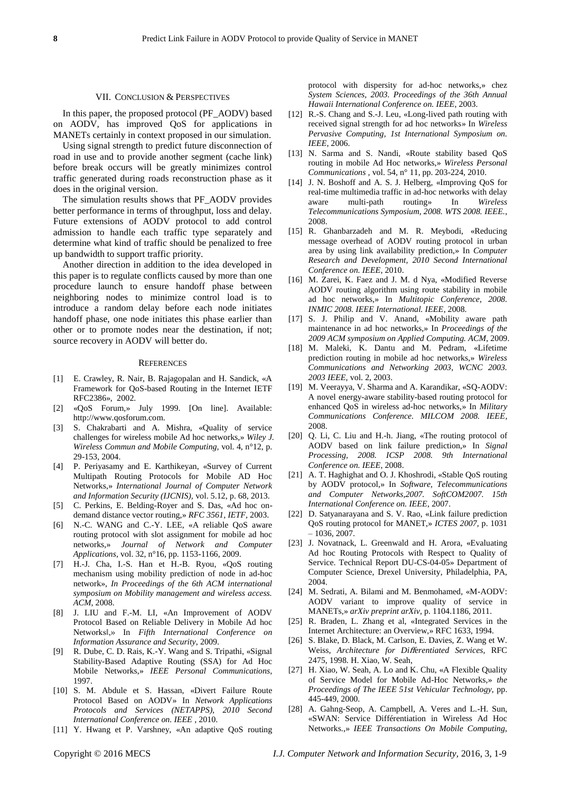#### VII. CONCLUSION & PERSPECTIVES

In this paper, the proposed protocol (PF\_AODV) based on AODV, has improved QoS for applications in MANETs certainly in context proposed in our simulation.

Using signal strength to predict future disconnection of road in use and to provide another segment (cache link) before break occurs will be greatly minimizes control traffic generated during roads reconstruction phase as it does in the original version.

The simulation results shows that PF\_AODV provides better performance in terms of throughput, loss and delay. Future extensions of AODV protocol to add control admission to handle each traffic type separately and determine what kind of traffic should be penalized to free up bandwidth to support traffic priority.

Another direction in addition to the idea developed in this paper is to regulate conflicts caused by more than one procedure launch to ensure handoff phase between neighboring nodes to minimize control load is to introduce a random delay before each node initiates handoff phase, one node initiates this phase earlier than other or to promote nodes near the destination, if not; source recovery in AODV will better do.

#### **REFERENCES**

- [1] E. Crawley, R. Nair, B. Rajagopalan and H. Sandick, «A Framework for QoS-based Routing in the Internet IETF RFC2386», 2002.
- [2] «QoS Forum,» July 1999. [On line]. Available: http://www.qosforum.com.
- [3] S. Chakrabarti and A. Mishra, «Quality of service challenges for wireless mobile Ad hoc networks,» *Wiley J. Wireless Commun and Mobile Computing,* vol. 4, n°12, p. 29-153, 2004.
- [4] P. Periyasamy and E. Karthikeyan, «Survey of Current Multipath Routing Protocols for Mobile AD Hoc Networks,» *International Journal of Computer Network and Information Security (IJCNIS),* vol. 5.12, p. 68, 2013.
- [5] C. Perkins, E. Belding-Royer and S. Das, «Ad hoc ondemand distance vector routing,» *RFC 3561, IETF,* 2003.
- [6] N.-C. WANG and C.-Y. LEE, «A reliable QoS aware routing protocol with slot assignment for mobile ad hoc networks,» *Journal of Network and Computer Applications,* vol. 32, n°16, pp. 1153-1166, 2009.
- [7] H.-J. Cha, I.-S. Han et H.-B. Ryou, «QoS routing mechanism using mobility prediction of node in ad-hoc network», *In Proceedings of the 6th ACM international symposium on Mobility management and wireless access. ACM*, 2008.
- [8] J. LIU and F.-M. LI, «An Improvement of AODV Protocol Based on Reliable Delivery in Mobile Ad hoc Networks‖,» In *Fifth International Conference on Information Assurance and Security*, 2009.
- [9] R. Dube, C. D. Rais, K.-Y. Wang and S. Tripathi, «Signal Stability-Based Adaptive Routing (SSA) for Ad Hoc Mobile Networks,» *IEEE Personal Communications,*  1997.
- [10] S. M. Abdule et S. Hassan, «Divert Failure Route Protocol Based on AODV» In *Network Applications Protocols and Services (NETAPPS), 2010 Second International Conference on. IEEE* , 2010.
- [11] Y. Hwang et P. Varshney, «An adaptive QoS routing

protocol with dispersity for ad-hoc networks,» chez *System Sciences, 2003. Proceedings of the 36th Annual Hawaii International Conference on. IEEE*, 2003.

- [12] R.-S. Chang and S.-J. Leu, «Long-lived path routing with received signal strength for ad hoc networks» In *Wireless Pervasive Computing, 1st International Symposium on. IEEE*, 2006.
- [13] N. Sarma and S. Nandi, «Route stability based QoS routing in mobile Ad Hoc networks,» *Wireless Personal Communications ,* vol. 54, n°11, pp. 203-224, 2010.
- [14] J. N. Boshoff and A. S. J. Helberg, «Improving OoS for real-time multimedia traffic in ad-hoc networks with delay aware multi-path routing» In *Wireless Telecommunications Symposium, 2008. WTS 2008. IEEE.*, 2008.
- [15] R. Ghanbarzadeh and M. R. Meybodi, «Reducing message overhead of AODV routing protocol in urban area by using link availability prediction,» In *Computer Research and Development, 2010 Second International Conference on. IEEE*, 2010.
- [16] M. Zarei, K. Faez and J. M. d Nya, «Modified Reverse AODV routing algorithm using route stability in mobile ad hoc networks,» In *Multitopic Conference, 2008. INMIC 2008. IEEE International. IEEE*, 2008.
- [17] S. J. Philip and V. Anand, «Mobility aware path maintenance in ad hoc networks,» In *Proceedings of the 2009 ACM symposium on Applied Computing. ACM*, 2009.
- [18] M. Maleki, K. Dantu and M. Pedram, «Lifetime prediction routing in mobile ad hoc networks,» *Wireless Communications and Networking 2003, WCNC 2003. 2003 IEEE,* vol. 2, 2003.
- [19] M. Veerayya, V. Sharma and A. Karandikar,  $\&$ Q-AODV: A novel energy-aware stability-based routing protocol for enhanced QoS in wireless ad-hoc networks,» In *Military Communications Conference. MILCOM 2008. IEEE*, 2008.
- [20] Q. Li, C. Liu and H.-h. Jiang, «The routing protocol of AODV based on link failure prediction,» In *Signal Processing, 2008. ICSP 2008. 9th International Conference on. IEEE*, 2008.
- [21] A. T. Haghighat and O. J. Khoshrodi, «Stable QoS routing by AODV protocol,» In *Software, Telecommunications and Computer Networks,2007. SoftCOM2007. 15th International Conference on. IEEE*, 2007.
- [22] D. Satyanarayana and S. V. Rao, «Link failure prediction QoS routing protocol for MANET,» *ICTES 2007,* p. 1031 – 1036, 2007.
- [23] J. Novatnack, L. Greenwald and H. Arora, «Evaluating Ad hoc Routing Protocols with Respect to Quality of Service. Technical Report DU-CS-04-05» Department of Computer Science, Drexel University, Philadelphia, PA, 2004.
- [24] M. Sedrati, A. Bilami and M. Benmohamed, «M-AODV: AODV variant to improve quality of service in MANETs,» *arXiv preprint arXiv,* p. 1104.1186, 2011.
- [25] R. Braden, L. Zhang et al, «Integrated Services in the Internet Architecture: an Overview,» RFC 1633, 1994.
- [26] S. Blake, D. Black, M. Carlson, E. Davies, Z. Wang et W. Weiss, *Architecture for Di*ff*erentiated Services,* RFC 2475, 1998. H. Xiao, W. Seah,
- [27] H. Xiao, W. Seah, A. Lo and K. Chu, «A Flexible Quality of Service Model for Mobile Ad-Hoc Networks,» *the Proceedings of The IEEE 51st Vehicular Technology,* pp. 445-449, 2000.
- [28] A. Gahng-Seop, A. Campbell, A. Veres and L.-H. Sun, «SWAN: Service Différentiation in Wireless Ad Hoc Networks.,» *IEEE Transactions On Mobile Computing,*